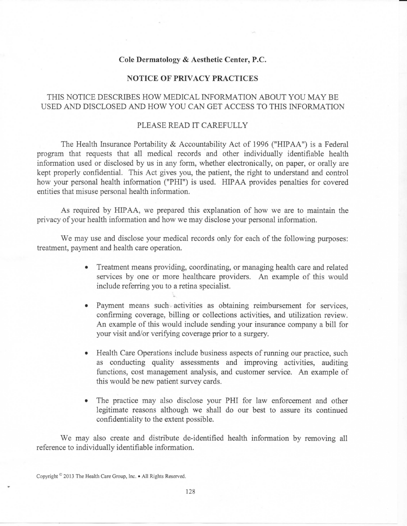## **Cole Dermatology** *&* **Aesthetic Center, P.C.**

## **NOTICE OF PRIVACY PRACTICES**

## THIS NOTICE DESCRIBES HOW MEDICAL INFORMATION ABOUT YOU MAY BE USED AND DISCLOSED AND HOW YOU CAN GET ACCESS TO THIS INFORMATION

## PLEASE READ IT CAREFULLY

The Health Insurance Portability & Accountability Act of 1996 ("HIPAA") is a Federal program that requests that all medical records and other individually identifiable health information used or disclosed by us in any form, whether electronically, on paper, or orally are kept properly confidential. This Act gives you, the patient, the right to understand and control how your personal health information ("PHI") is used. HIPAA provides penalties for covered entities that misuse personal health information.

As required by HIPAA, we prepared this explanation of how we are to maintain the privacy of your health information and how we may disclose your personal information.

We may use and disclose your medical records only for each of the following purposes: treatment, payment and health care operation.

- Treatment means providing, coordinating, or managing health care and related services by one or more healthcare providers. An example of this would include referring you to a retina specialist.
- Payment means such activities as obtaining reimbursement for services, confirming coverage, billing or collections activities, and utilization review. An example of this would include sending your insurance company a bill for your visit and/or verifying coverage prior to a surgery.
- Health Care Operations include business aspects of running our practice, such as conducting quality assessments and improving activities, auditing functions, cost management analysis, and customer service. An example of this would be new patient survey cards.
- The practice may also disclose your PHI for law enforcement and other legitimate reasons although we shall do our best to assure its continued confidentiality to the extent possible.

We may also create and distribute de-identified health information by removing all reference to individually identifiable information.

Copyright<sup> ©</sup> 2013 The Health Care Group, Inc. • All Rights Reserved.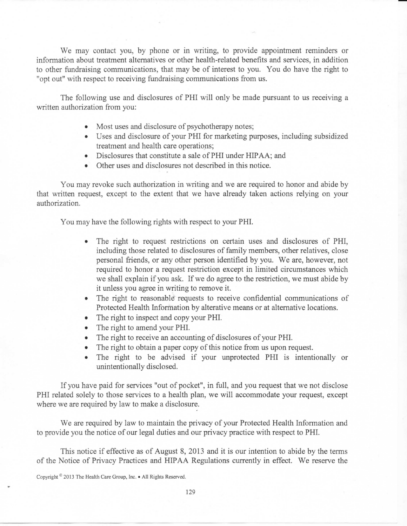We may contact you, by phone or in writing, to provide appointment reminders or information about treatment alternatives or other health-related benefits and services, in addition to other fundraising communications, that may be of interest to you. You do have the right to "opt out" with respect to receiving fundraising communications from us.

The following use and disclosures of PHI will only be made pursuant to us receiving a written authorization from you:

- Most uses and disclosure of psychotherapy notes;
- Uses and disclosure of your PHI for marketing purposes, including subsidized treatment and health care operations;
- Disclosures that constitute a sale of PHI under HIPAA; and
- Other uses and disclosures not described in this notice.

You may revoke such authorization in writing and we are required to honor and abide by that written request, except to the extent that we have already taken actions relying on your authorization.

You may have the following rights with respect to your PHI.

- The right to request restrictions on certain uses and disclosures of PHI, including those related to disclosures of family members, other relatives, close personal friends, or any other person identified by you. We are, however, not required to honor a request restriction except in limited circumstances which we shall explain if you ask. If we do agree to the restriction, we must abide by it unless you agree in writing to remove it.
- The right to reasonable requests to receive confidential communications of Protected Health Information by alterative means or at alternative locations.
- The right to inspect and copy your PHI.
- The right to amend your PHI.
- The right to receive an accounting of disclosures of your PHI.
- The right to obtain a paper copy of this notice from us upon request.
- The right to be advised if your unprotected PHI is intentionally or unintentionally disclosed.

If you have paid for services "out of pocket", in full, and you request that we not disclose PHI related solely to those services to a health plan, we will accommodate your request, except where we are required by law to make a disclosure.

.•

We are required by law to maintain the privacy of your Protected Health Information and to provide you the notice of our legal duties and our privacy practice with respect to PHI.

This notice if effective as of August 8, 2013 and it is our intention to abide by the terms of the Notice of Privacy Practices and HIPAA Regulations currently in effect. We reserve the

Copyright ° 2013 The Health Care Group, Inc. • All Rights Reserved.